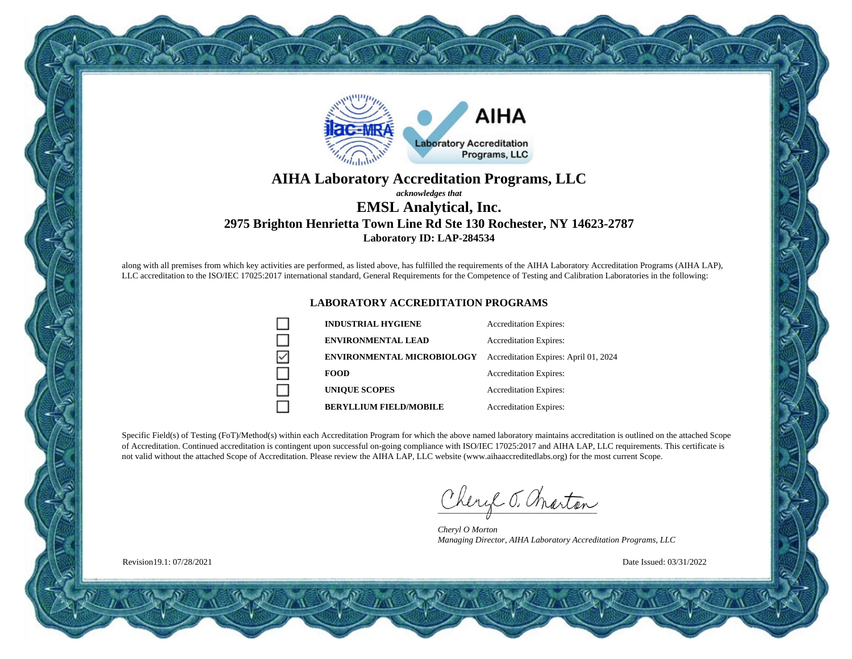

### **AIHA Laboratory Accreditation Programs, LLC** *acknowledges that* **EMSL Analytical, Inc.**

## **2975 Brighton Henrietta Town Line Rd Ste 130 Rochester, NY 14623-2787 Laboratory ID: LAP-284534**

along with all premises from which key activities are performed, as listed above, has fulfilled the requirements of the AIHA Laboratory Accreditation Programs (AIHA LAP), LLC accreditation to the ISO/IEC 17025:2017 international standard, General Requirements for the Competence of Testing and Calibration Laboratories in the following:

#### **LABORATORY ACCREDITATION PROGRAMS**

| <b>INDUSTRIAL HYGIENE</b>         | <b>Accreditation Expires:</b>         |
|-----------------------------------|---------------------------------------|
| <b>ENVIRONMENTAL LEAD</b>         | <b>Accreditation Expires:</b>         |
| <b>ENVIRONMENTAL MICROBIOLOGY</b> | Accreditation Expires: April 01, 2024 |
| <b>FOOD</b>                       | <b>Accreditation Expires:</b>         |
| <b>UNIOUE SCOPES</b>              | <b>Accreditation Expires:</b>         |
| <b>BERYLLIUM FIELD/MOBILE</b>     | <b>Accreditation Expires:</b>         |

Specific Field(s) of Testing (FoT)/Method(s) within each Accreditation Program for which the above named laboratory maintains accreditation is outlined on the attached Scope of Accreditation. Continued accreditation is contingent upon successful on-going compliance with ISO/IEC 17025:2017 and AIHA LAP, LLC requirements. This certificate is not valid without the attached Scope of Accreditation. Please review the AIHA LAP, LLC website (www.aihaaccreditedlabs.org) for the most current Scope.

Cheryl J. Charton

*Cheryl O Morton Managing Director, AIHA Laboratory Accreditation Programs, LLC*

Date Issued: 03/31/2022

Revision19.1: 07/28/2021